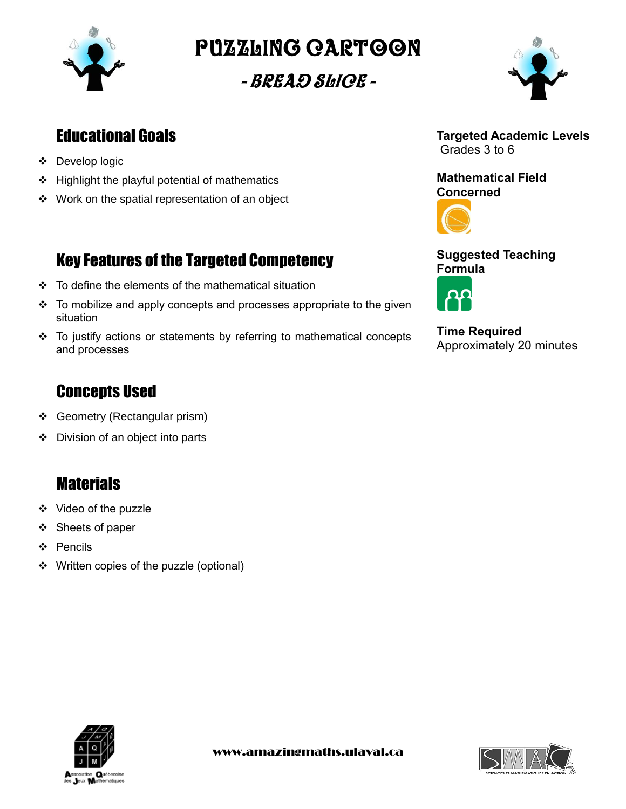

Puzzling cartoon

- Bread Slice -



## Educational Goals

- Develop logic
- $\div$  Highlight the playful potential of mathematics
- Work on the spatial representation of an object

## Key Features of the Targeted Competency

- $\div$  To define the elements of the mathematical situation
- $\cdot \cdot$  To mobilize and apply concepts and processes appropriate to the given situation
- To justify actions or statements by referring to mathematical concepts and processes

## Concepts Used

- Geometry (Rectangular prism)
- Division of an object into parts

# **Materials**

- ❖ Video of the puzzle
- ❖ Sheets of paper
- Pencils
- ❖ Written copies of the puzzle (optional)



**Mathematical Field Concerned**



**Suggested Teaching Formula**



**Time Required** Approximately 20 minutes